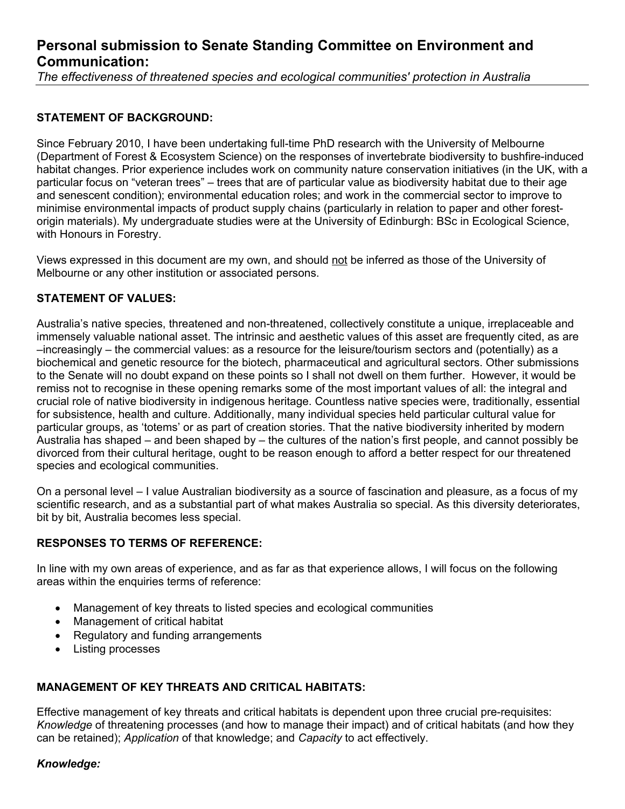# **Personal submission to Senate Standing Committee on Environment and Communication:**

*The effectiveness of threatened species and ecological communities' protection in Australia*

# **STATEMENT OF BACKGROUND:**

Since February 2010, I have been undertaking full-time PhD research with the University of Melbourne (Department of Forest & Ecosystem Science) on the responses of invertebrate biodiversity to bushfire-induced habitat changes. Prior experience includes work on community nature conservation initiatives (in the UK, with a particular focus on "veteran trees" – trees that are of particular value as biodiversity habitat due to their age and senescent condition); environmental education roles; and work in the commercial sector to improve to minimise environmental impacts of product supply chains (particularly in relation to paper and other forestorigin materials). My undergraduate studies were at the University of Edinburgh: BSc in Ecological Science, with Honours in Forestry.

Views expressed in this document are my own, and should not be inferred as those of the University of Melbourne or any other institution or associated persons.

# **STATEMENT OF VALUES:**

Australia's native species, threatened and non-threatened, collectively constitute a unique, irreplaceable and immensely valuable national asset. The intrinsic and aesthetic values of this asset are frequently cited, as are –increasingly – the commercial values: as a resource for the leisure/tourism sectors and (potentially) as a biochemical and genetic resource for the biotech, pharmaceutical and agricultural sectors. Other submissions to the Senate will no doubt expand on these points so I shall not dwell on them further. However, it would be remiss not to recognise in these opening remarks some of the most important values of all: the integral and crucial role of native biodiversity in indigenous heritage. Countless native species were, traditionally, essential for subsistence, health and culture. Additionally, many individual species held particular cultural value for particular groups, as 'totems' or as part of creation stories. That the native biodiversity inherited by modern Australia has shaped – and been shaped by – the cultures of the nation's first people, and cannot possibly be divorced from their cultural heritage, ought to be reason enough to afford a better respect for our threatened species and ecological communities.

On a personal level – I value Australian biodiversity as a source of fascination and pleasure, as a focus of my scientific research, and as a substantial part of what makes Australia so special. As this diversity deteriorates, bit by bit, Australia becomes less special.

## **RESPONSES TO TERMS OF REFERENCE:**

In line with my own areas of experience, and as far as that experience allows, I will focus on the following areas within the enquiries terms of reference:

- Management of key threats to listed species and ecological communities
- Management of critical habitat
- Regulatory and funding arrangements
- Listing processes

# **MANAGEMENT OF KEY THREATS AND CRITICAL HABITATS:**

Effective management of key threats and critical habitats is dependent upon three crucial pre-requisites: *Knowledge* of threatening processes (and how to manage their impact) and of critical habitats (and how they can be retained); *Application* of that knowledge; and *Capacity* to act effectively.

## *Knowledge:*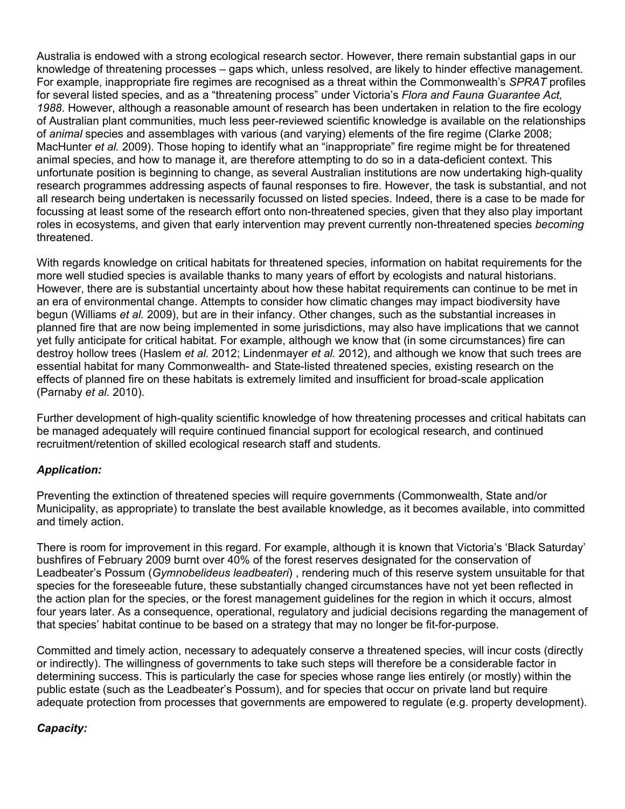Australia is endowed with a strong ecological research sector. However, there remain substantial gaps in our knowledge of threatening processes – gaps which, unless resolved, are likely to hinder effective management. For example, inappropriate fire regimes are recognised as a threat within the Commonwealth's *SPRAT* profiles for several listed species, and as a "threatening process" under Victoria's *Flora and Fauna Guarantee Act, 1988*. However, although a reasonable amount of research has been undertaken in relation to the fire ecology of Australian plant communities, much less peer-reviewed scientific knowledge is available on the relationships of *animal* species and assemblages with various (and varying) elements of the fire regime (Clarke 2008; MacHunter *et al.* 2009). Those hoping to identify what an "inappropriate" fire regime might be for threatened animal species, and how to manage it, are therefore attempting to do so in a data-deficient context. This unfortunate position is beginning to change, as several Australian institutions are now undertaking high-quality research programmes addressing aspects of faunal responses to fire. However, the task is substantial, and not all research being undertaken is necessarily focussed on listed species. Indeed, there is a case to be made for focussing at least some of the research effort onto non-threatened species, given that they also play important roles in ecosystems, and given that early intervention may prevent currently non-threatened species *becoming* threatened.

With regards knowledge on critical habitats for threatened species, information on habitat requirements for the more well studied species is available thanks to many years of effort by ecologists and natural historians. However, there are is substantial uncertainty about how these habitat requirements can continue to be met in an era of environmental change. Attempts to consider how climatic changes may impact biodiversity have begun (Williams *et al.* 2009), but are in their infancy. Other changes, such as the substantial increases in planned fire that are now being implemented in some jurisdictions, may also have implications that we cannot yet fully anticipate for critical habitat. For example, although we know that (in some circumstances) fire can destroy hollow trees (Haslem *et al.* 2012; Lindenmayer *et al.* 2012), and although we know that such trees are essential habitat for many Commonwealth- and State-listed threatened species, existing research on the effects of planned fire on these habitats is extremely limited and insufficient for broad-scale application (Parnaby *et al.* 2010).

Further development of high-quality scientific knowledge of how threatening processes and critical habitats can be managed adequately will require continued financial support for ecological research, and continued recruitment/retention of skilled ecological research staff and students.

# *Application:*

Preventing the extinction of threatened species will require governments (Commonwealth, State and/or Municipality, as appropriate) to translate the best available knowledge, as it becomes available, into committed and timely action.

There is room for improvement in this regard. For example, although it is known that Victoria's 'Black Saturday' bushfires of February 2009 burnt over 40% of the forest reserves designated for the conservation of Leadbeater's Possum (*Gymnobelideus leadbeateri*) , rendering much of this reserve system unsuitable for that species for the foreseeable future, these substantially changed circumstances have not yet been reflected in the action plan for the species, or the forest management guidelines for the region in which it occurs, almost four years later. As a consequence, operational, regulatory and judicial decisions regarding the management of that species' habitat continue to be based on a strategy that may no longer be fit-for-purpose.

Committed and timely action, necessary to adequately conserve a threatened species, will incur costs (directly or indirectly). The willingness of governments to take such steps will therefore be a considerable factor in determining success. This is particularly the case for species whose range lies entirely (or mostly) within the public estate (such as the Leadbeater's Possum), and for species that occur on private land but require adequate protection from processes that governments are empowered to regulate (e.g. property development).

## *Capacity:*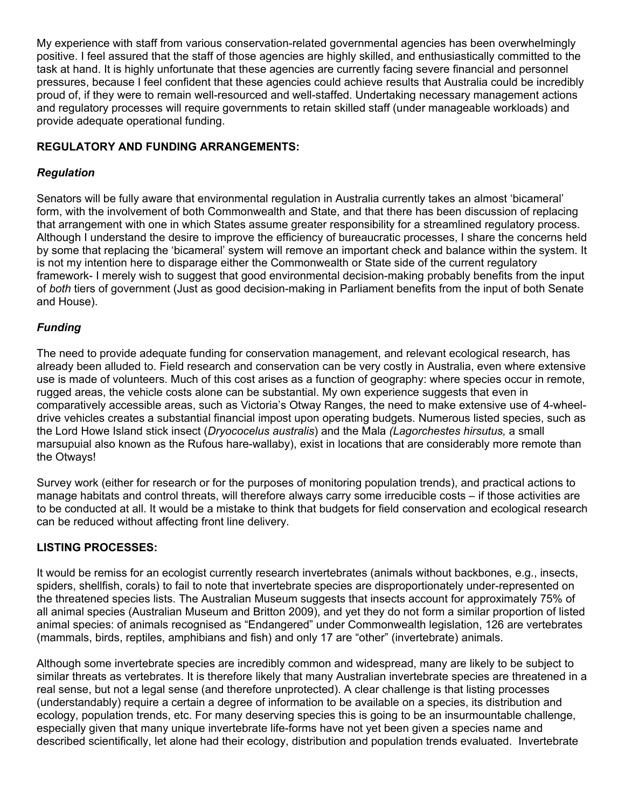My experience with staff from various conservation-related governmental agencies has been overwhelmingly positive. I feel assured that the staff of those agencies are highly skilled, and enthusiastically committed to the task at hand. It is highly unfortunate that these agencies are currently facing severe financial and personnel pressures, because I feel confident that these agencies could achieve results that Australia could be incredibly proud of, if they were to remain well-resourced and well-staffed. Undertaking necessary management actions and regulatory processes will require governments to retain skilled staff (under manageable workloads) and provide adequate operational funding.

# **REGULATORY AND FUNDING ARRANGEMENTS:**

## *Regulation*

Senators will be fully aware that environmental regulation in Australia currently takes an almost 'bicameral' form, with the involvement of both Commonwealth and State, and that there has been discussion of replacing that arrangement with one in which States assume greater responsibility for a streamlined regulatory process. Although I understand the desire to improve the efficiency of bureaucratic processes, I share the concerns held by some that replacing the 'bicameral' system will remove an important check and balance within the system. It is not my intention here to disparage either the Commonwealth or State side of the current regulatory framework- I merely wish to suggest that good environmental decision-making probably benefits from the input of *both* tiers of government (Just as good decision-making in Parliament benefits from the input of both Senate and House).

## *Funding*

The need to provide adequate funding for conservation management, and relevant ecological research, has already been alluded to. Field research and conservation can be very costly in Australia, even where extensive use is made of volunteers. Much of this cost arises as a function of geography: where species occur in remote, rugged areas, the vehicle costs alone can be substantial. My own experience suggests that even in comparatively accessible areas, such as Victoria's Otway Ranges, the need to make extensive use of 4-wheeldrive vehicles creates a substantial financial impost upon operating budgets. Numerous listed species, such as the Lord Howe Island stick insect (*Dryococelus australis*) and the Mala *(Lagorchestes hirsutus,* a small marsupuial also known as the Rufous hare-wallaby), exist in locations that are considerably more remote than the Otways!

Survey work (either for research or for the purposes of monitoring population trends), and practical actions to manage habitats and control threats, will therefore always carry some irreducible costs – if those activities are to be conducted at all. It would be a mistake to think that budgets for field conservation and ecological research can be reduced without affecting front line delivery.

## **LISTING PROCESSES:**

It would be remiss for an ecologist currently research invertebrates (animals without backbones, e.g., insects, spiders, shellfish, corals) to fail to note that invertebrate species are disproportionately under-represented on the threatened species lists. The Australian Museum suggests that insects account for approximately 75% of all animal species (Australian Museum and Britton 2009), and yet they do not form a similar proportion of listed animal species: of animals recognised as "Endangered" under Commonwealth legislation, 126 are vertebrates (mammals, birds, reptiles, amphibians and fish) and only 17 are "other" (invertebrate) animals.

Although some invertebrate species are incredibly common and widespread, many are likely to be subject to similar threats as vertebrates. It is therefore likely that many Australian invertebrate species are threatened in a real sense, but not a legal sense (and therefore unprotected). A clear challenge is that listing processes (understandably) require a certain a degree of information to be available on a species, its distribution and ecology, population trends, etc. For many deserving species this is going to be an insurmountable challenge, especially given that many unique invertebrate life-forms have not yet been given a species name and described scientifically, let alone had their ecology, distribution and population trends evaluated. Invertebrate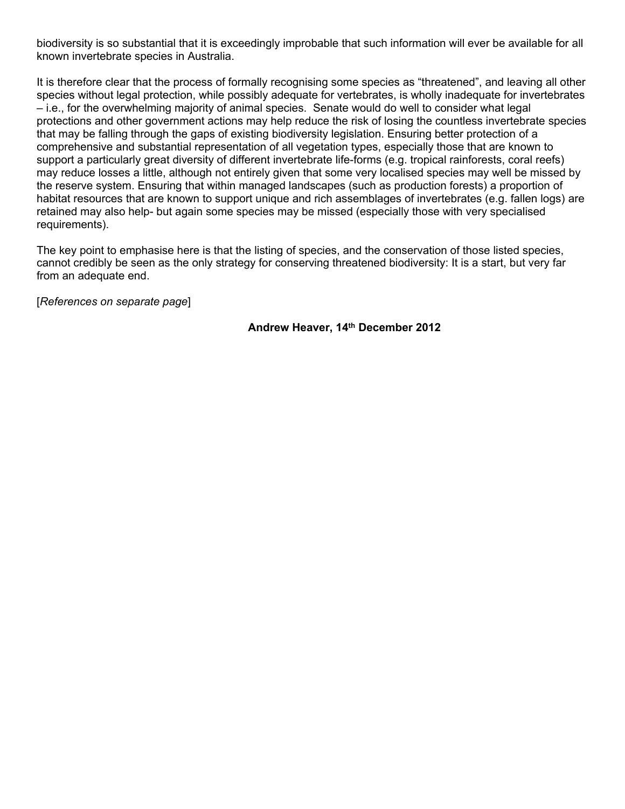biodiversity is so substantial that it is exceedingly improbable that such information will ever be available for all known invertebrate species in Australia.

It is therefore clear that the process of formally recognising some species as "threatened", and leaving all other species without legal protection, while possibly adequate for vertebrates, is wholly inadequate for invertebrates – i.e., for the overwhelming majority of animal species. Senate would do well to consider what legal protections and other government actions may help reduce the risk of losing the countless invertebrate species that may be falling through the gaps of existing biodiversity legislation. Ensuring better protection of a comprehensive and substantial representation of all vegetation types, especially those that are known to support a particularly great diversity of different invertebrate life-forms (e.g. tropical rainforests, coral reefs) may reduce losses a little, although not entirely given that some very localised species may well be missed by the reserve system. Ensuring that within managed landscapes (such as production forests) a proportion of habitat resources that are known to support unique and rich assemblages of invertebrates (e.g. fallen logs) are retained may also help- but again some species may be missed (especially those with very specialised requirements).

The key point to emphasise here is that the listing of species, and the conservation of those listed species, cannot credibly be seen as the only strategy for conserving threatened biodiversity: It is a start, but very far from an adequate end.

[*References on separate page*]

**Andrew Heaver, 14th December 2012**